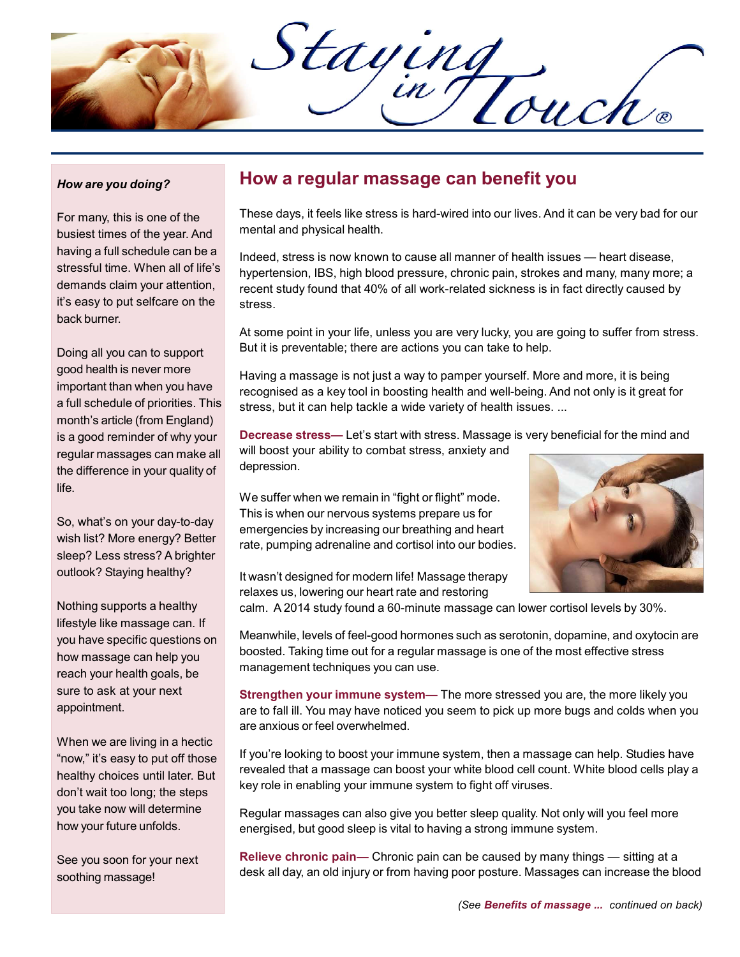Staying

#### How are you doing?

For many, this is one of the busiest times of the year. And having a full schedule can be a stressful time. When all of life's demands claim your attention, it's easy to put selfcare on the back burner.

Doing all you can to support good health is never more important than when you have a full schedule of priorities. This month's article (from England) is a good reminder of why your regular massages can make all the difference in your quality of life.

So, what's on your day-to-day wish list? More energy? Better sleep? Less stress? A brighter outlook? Staying healthy?

Nothing supports a healthy lifestyle like massage can. If you have specific questions on how massage can help you reach your health goals, be sure to ask at your next appointment.

When we are living in a hectic "now," it's easy to put off those healthy choices until later. But don't wait too long; the steps you take now will determine how your future unfolds.

See you soon for your next soothing massage!

### How a regular massage can benefit you

These days, it feels like stress is hard-wired into our lives. And it can be very bad for our mental and physical health.

Indeed, stress is now known to cause all manner of health issues — heart disease, hypertension, IBS, high blood pressure, chronic pain, strokes and many, many more; a recent study found that 40% of all work-related sickness is in fact directly caused by stress.

At some point in your life, unless you are very lucky, you are going to suffer from stress. But it is preventable; there are actions you can take to help.

Having a massage is not just a way to pamper yourself. More and more, it is being recognised as a key tool in boosting health and well-being. And not only is it great for stress, but it can help tackle a wide variety of health issues. ...

Decrease stress— Let's start with stress. Massage is very beneficial for the mind and will boost your ability to combat stress, anxiety and depression.

We suffer when we remain in "fight or flight" mode. This is when our nervous systems prepare us for emergencies by increasing our breathing and heart rate, pumping adrenaline and cortisol into our bodies.



It wasn't designed for modern life! Massage therapy relaxes us, lowering our heart rate and restoring

calm. A 2014 study found a 60-minute massage can lower cortisol levels by 30%.

Meanwhile, levels of feel-good hormones such as serotonin, dopamine, and oxytocin are boosted. Taking time out for a regular massage is one of the most effective stress management techniques you can use.

Strengthen your immune system— The more stressed you are, the more likely you are to fall ill. You may have noticed you seem to pick up more bugs and colds when you are anxious or feel overwhelmed.

If you're looking to boost your immune system, then a massage can help. Studies have revealed that a massage can boost your white blood cell count. White blood cells play a key role in enabling your immune system to fight off viruses.

Regular massages can also give you better sleep quality. Not only will you feel more energised, but good sleep is vital to having a strong immune system.

Relieve chronic pain- Chronic pain can be caused by many things - sitting at a desk all day, an old injury or from having poor posture. Massages can increase the blood